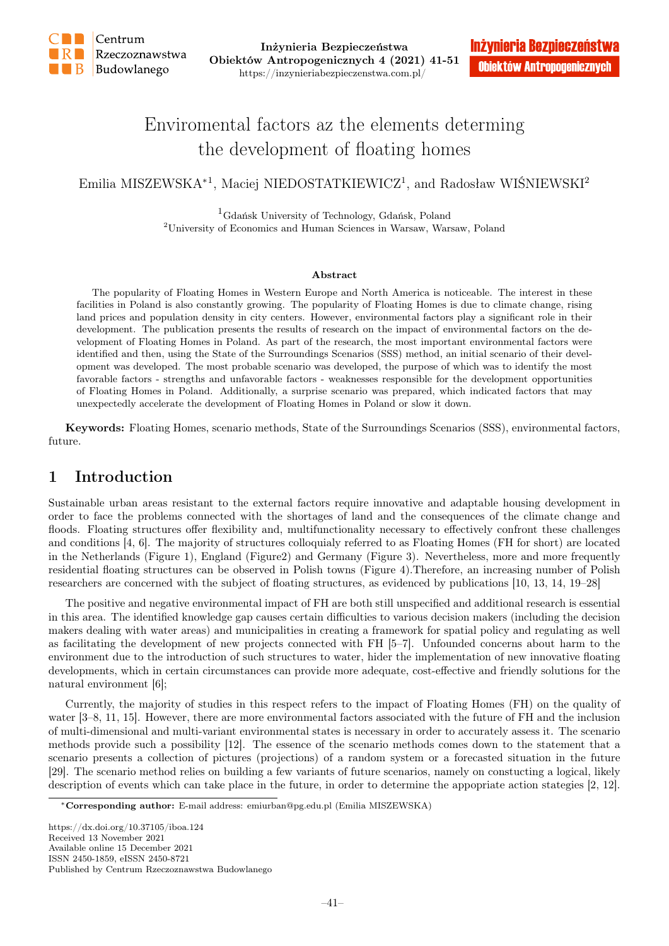

# Enviromental factors az the elements determing the development of floating homes

Emilia MISZEWSKA<sup>∗1</sup>, Maciej NIEDOSTATKIEWICZ<sup>1</sup>, and Radosław WIŚNIEWSKI<sup>2</sup>

<sup>1</sup>Gdańsk University of Technology, Gdańsk, Poland <sup>2</sup>University of Economics and Human Sciences in Warsaw, Warsaw, Poland

#### Abstract

The popularity of Floating Homes in Western Europe and North America is noticeable. The interest in these facilities in Poland is also constantly growing. The popularity of Floating Homes is due to climate change, rising land prices and population density in city centers. However, environmental factors play a significant role in their development. The publication presents the results of research on the impact of environmental factors on the development of Floating Homes in Poland. As part of the research, the most important environmental factors were identified and then, using the State of the Surroundings Scenarios (SSS) method, an initial scenario of their development was developed. The most probable scenario was developed, the purpose of which was to identify the most favorable factors - strengths and unfavorable factors - weaknesses responsible for the development opportunities of Floating Homes in Poland. Additionally, a surprise scenario was prepared, which indicated factors that may unexpectedly accelerate the development of Floating Homes in Poland or slow it down.

Keywords: Floating Homes, scenario methods, State of the Surroundings Scenarios (SSS), environmental factors, future.

### 1 Introduction

Sustainable urban areas resistant to the external factors require innovative and adaptable housing development in order to face the problems connected with the shortages of land and the consequences of the climate change and floods. Floating structures offer flexibility and, multifunctionality necessary to effectively confront these challenges and conditions [4, 6]. The majority of structures colloquialy referred to as Floating Homes (FH for short) are located in the Netherlands (Figure 1), England (Figure2) and Germany (Figure 3). Nevertheless, more and more frequently residential floating structures can be observed in Polish towns (Figure 4).Therefore, an increasing number of Polish researchers are concerned with the subject of floating structures, as evidenced by publications [10, 13, 14, 19–28]

The positive and negative environmental impact of FH are both still unspecified and additional research is essential in this area. The identified knowledge gap causes certain difficulties to various decision makers (including the decision makers dealing with water areas) and municipalities in creating a framework for spatial policy and regulating as well as facilitating the development of new projects connected with FH [5–7]. Unfounded concerns about harm to the environment due to the introduction of such structures to water, hider the implementation of new innovative floating developments, which in certain circumstances can provide more adequate, cost-effective and friendly solutions for the natural environment [6];

Currently, the majority of studies in this respect refers to the impact of Floating Homes (FH) on the quality of water [3–8, 11, 15]. However, there are more environmental factors associated with the future of FH and the inclusion of multi-dimensional and multi-variant environmental states is necessary in order to accurately assess it. The scenario methods provide such a possibility [12]. The essence of the scenario methods comes down to the statement that a scenario presents a collection of pictures (projections) of a random system or a forecasted situation in the future [29]. The scenario method relies on building a few variants of future scenarios, namely on constucting a logical, likely description of events which can take place in the future, in order to determine the appopriate action stategies [2, 12].

https://dx.doi.org/10.37105/iboa.124 Received 13 November 2021 Available online 15 December 2021 ISSN 2450-1859, eISSN 2450-8721 Published by Centrum Rzeczoznawstwa Budowlanego

<sup>∗</sup>Corresponding author: E-mail address: emiurban@pg.edu.pl (Emilia MISZEWSKA)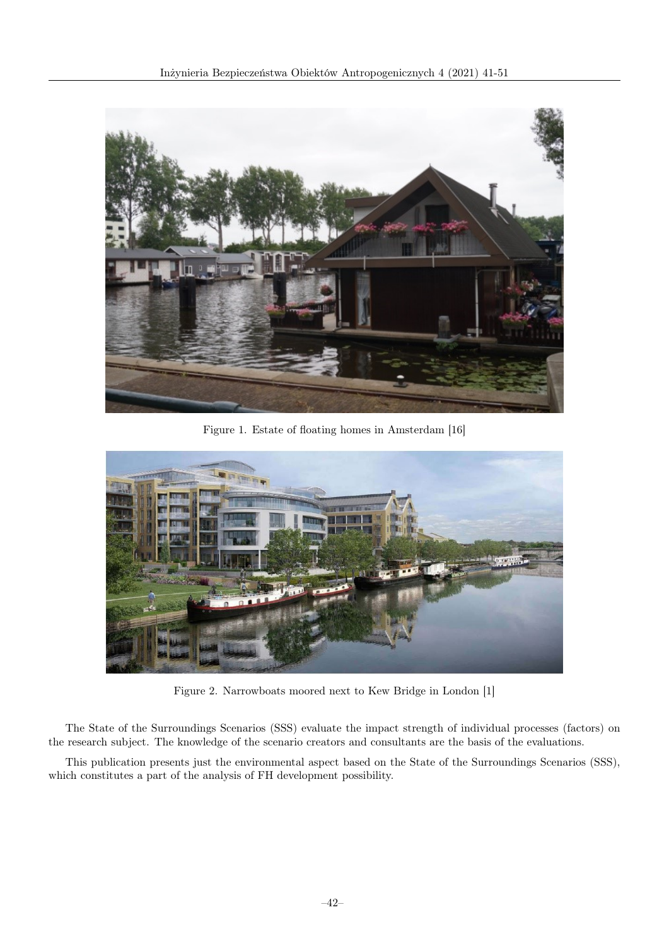

Figure 1. Estate of floating homes in Amsterdam [16]



Figure 2. Narrowboats moored next to Kew Bridge in London [1]

The State of the Surroundings Scenarios (SSS) evaluate the impact strength of individual processes (factors) on the research subject. The knowledge of the scenario creators and consultants are the basis of the evaluations.

This publication presents just the environmental aspect based on the State of the Surroundings Scenarios (SSS), which constitutes a part of the analysis of FH development possibility.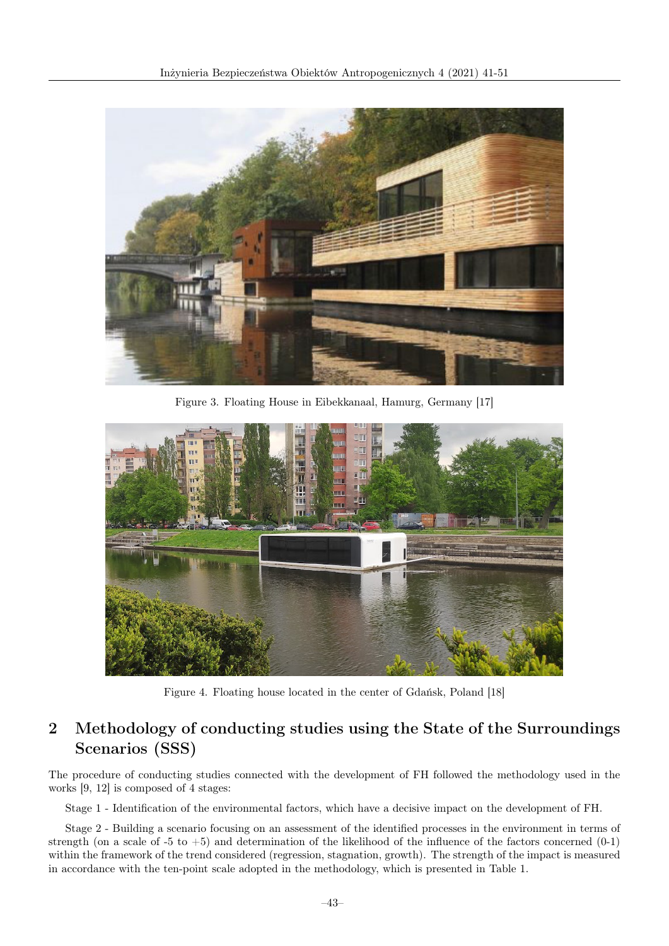

Figure 3. Floating House in Eibekkanaal, Hamurg, Germany [17]



Figure 4. Floating house located in the center of Gdańsk, Poland [18]

## 2 Methodology of conducting studies using the State of the Surroundings Scenarios (SSS)

The procedure of conducting studies connected with the development of FH followed the methodology used in the works [9, 12] is composed of 4 stages:

Stage 1 - Identification of the environmental factors, which have a decisive impact on the development of FH.

Stage 2 - Building a scenario focusing on an assessment of the identified processes in the environment in terms of strength (on a scale of  $-5$  to  $+5$ ) and determination of the likelihood of the influence of the factors concerned (0-1) within the framework of the trend considered (regression, stagnation, growth). The strength of the impact is measured in accordance with the ten-point scale adopted in the methodology, which is presented in Table 1.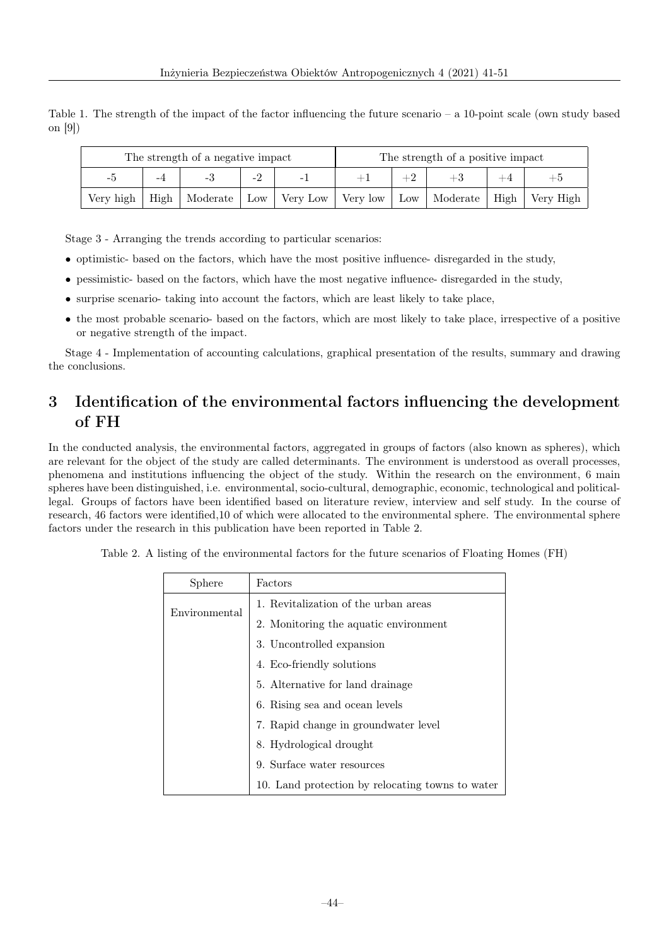Table 1. The strength of the impact of the factor influencing the future scenario – a 10-point scale (own study based on [9])

| The strength of a negative impact |      |          | The strength of a positive impact |                          |          |  |                |             |             |
|-----------------------------------|------|----------|-----------------------------------|--------------------------|----------|--|----------------|-------------|-------------|
| $-i$ )                            | -4   |          | -4                                | $\overline{\phantom{0}}$ |          |  |                |             |             |
| Very high                         | High | Moderate | Low                               | Very Low                 | Very low |  | Low   Moderate | $High \mid$ | ⊦ Very High |

Stage 3 - Arranging the trends according to particular scenarios:

- optimistic- based on the factors, which have the most positive influence- disregarded in the study,
- pessimistic- based on the factors, which have the most negative influence- disregarded in the study,
- surprise scenario- taking into account the factors, which are least likely to take place,
- the most probable scenario- based on the factors, which are most likely to take place, irrespective of a positive or negative strength of the impact.

Stage 4 - Implementation of accounting calculations, graphical presentation of the results, summary and drawing the conclusions.

## 3 Identification of the environmental factors influencing the development of FH

In the conducted analysis, the environmental factors, aggregated in groups of factors (also known as spheres), which are relevant for the object of the study are called determinants. The environment is understood as overall processes, phenomena and institutions influencing the object of the study. Within the research on the environment, 6 main spheres have been distinguished, i.e. environmental, socio-cultural, demographic, economic, technological and politicallegal. Groups of factors have been identified based on literature review, interview and self study. In the course of research, 46 factors were identified,10 of which were allocated to the environmental sphere. The environmental sphere factors under the research in this publication have been reported in Table 2.

| Sphere        | Factors                                          |  |  |  |
|---------------|--------------------------------------------------|--|--|--|
| Environmental | 1. Revitalization of the urban areas             |  |  |  |
|               | 2. Monitoring the aquatic environment            |  |  |  |
|               | 3. Uncontrolled expansion                        |  |  |  |
|               | 4. Eco-friendly solutions                        |  |  |  |
|               | 5. Alternative for land drainage                 |  |  |  |
|               | 6. Rising sea and ocean levels                   |  |  |  |
|               | 7. Rapid change in groundwater level             |  |  |  |
|               | 8. Hydrological drought                          |  |  |  |
|               | 9. Surface water resources                       |  |  |  |
|               | 10. Land protection by relocating towns to water |  |  |  |

Table 2. A listing of the environmental factors for the future scenarios of Floating Homes (FH)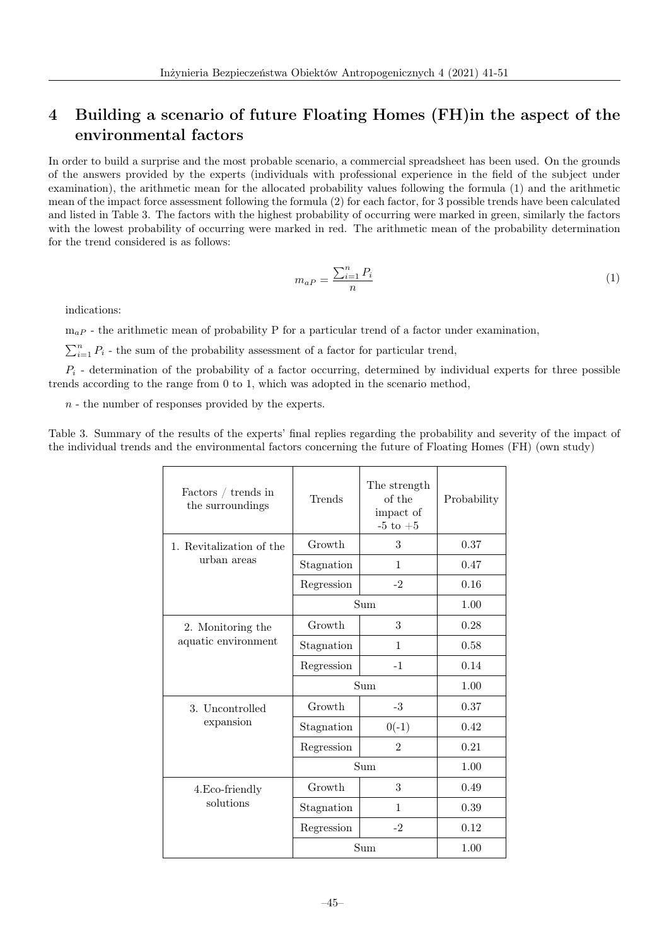## 4 Building a scenario of future Floating Homes (FH)in the aspect of the environmental factors

In order to build a surprise and the most probable scenario, a commercial spreadsheet has been used. On the grounds of the answers provided by the experts (individuals with professional experience in the field of the subject under examination), the arithmetic mean for the allocated probability values following the formula (1) and the arithmetic mean of the impact force assessment following the formula (2) for each factor, for 3 possible trends have been calculated and listed in Table 3. The factors with the highest probability of occurring were marked in green, similarly the factors with the lowest probability of occurring were marked in red. The arithmetic mean of the probability determination for the trend considered is as follows:

$$
m_{aP} = \frac{\sum_{i=1}^{n} P_i}{n} \tag{1}
$$

indications:

 $m_{aP}$  - the arithmetic mean of probability P for a particular trend of a factor under examination,

 $\sum_{i=1}^{n} P_i$  - the sum of the probability assessment of a factor for particular trend,

 $P_i$  - determination of the probability of a factor occurring, determined by individual experts for three possible trends according to the range from 0 to 1, which was adopted in the scenario method,

 $n -$  the number of responses provided by the experts.

Table 3. Summary of the results of the experts' final replies regarding the probability and severity of the impact of the individual trends and the environmental factors concerning the future of Floating Homes (FH) (own study)

| Factors $/$ trends in<br>the surroundings | Trends     | The strength<br>of the<br>impact of<br>-5 to $+5$ | Probability |
|-------------------------------------------|------------|---------------------------------------------------|-------------|
| 1. Revitalization of the                  | Growth     | 3                                                 | 0.37        |
| urban areas                               | Stagnation | 1                                                 | 0.47        |
|                                           | Regression | $-2$                                              | 0.16        |
|                                           | Sum        | 1.00                                              |             |
| 2. Monitoring the                         | Growth     | 3                                                 | 0.28        |
| aquatic environment                       | Stagnation | 1                                                 | 0.58        |
|                                           | Regression | $-1$                                              | 0.14        |
|                                           | Sum        | 1.00                                              |             |
| 3. Uncontrolled                           | Growth     | $-3$                                              | 0.37        |
| expansion                                 | Stagnation | $0(-1)$                                           | 0.42        |
|                                           | Regression | $\overline{2}$                                    | 0.21        |
|                                           | Sum        | 1.00                                              |             |
| 4. Eco-friendly                           | Growth     | 3                                                 | 0.49        |
| solutions                                 | Stagnation | 1                                                 | 0.39        |
|                                           | Regression | $-2$                                              | 0.12        |
|                                           | Sum        | 1.00                                              |             |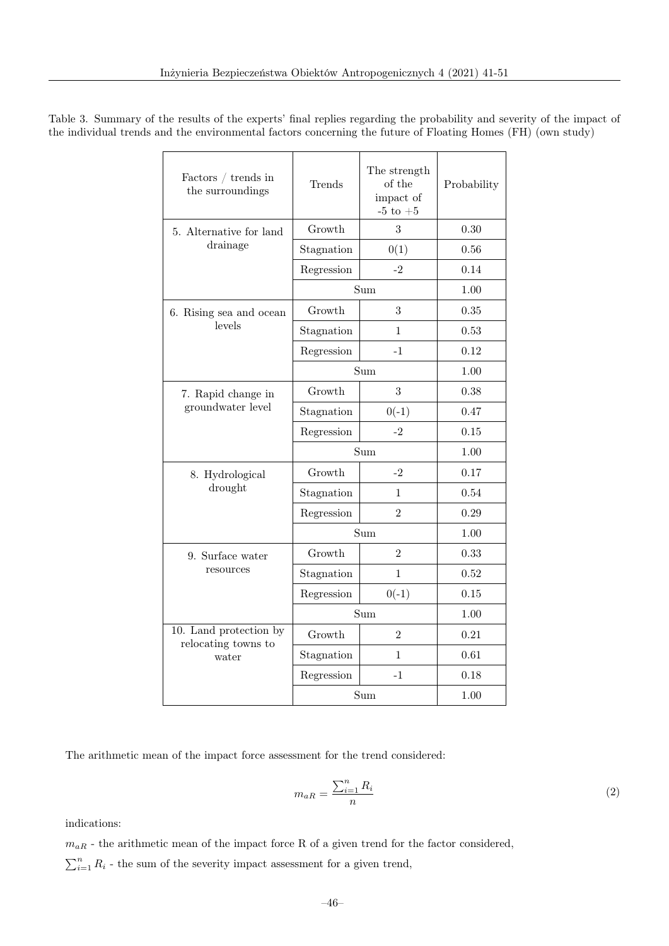| Factors $/$ trends in<br>the surroundings | Trends     | The strength<br>of the<br>impact of<br>-5 to $+5\,$ | Probability |  |
|-------------------------------------------|------------|-----------------------------------------------------|-------------|--|
| 5. Alternative for land                   | Growth     | 3                                                   | 0.30        |  |
| drainage                                  | Stagnation | 0(1)                                                | 0.56        |  |
|                                           | Regression | -2                                                  | 0.14        |  |
|                                           | Sum        | 1.00                                                |             |  |
| 6. Rising sea and ocean                   | Growth     | 3                                                   | 0.35        |  |
| levels                                    | Stagnation | 1                                                   | 0.53        |  |
|                                           | Regression | $-1$                                                | 0.12        |  |
|                                           | Sum        | 1.00                                                |             |  |
| 7. Rapid change in                        | Growth     | 3                                                   | 0.38        |  |
| groundwater level                         | Stagnation | $0(-1)$                                             | 0.47        |  |
|                                           | Regression | $-2$                                                | 0.15        |  |
|                                           | Sum        | 1.00                                                |             |  |
| 8. Hydrological                           | Growth     | $-2$                                                | 0.17        |  |
| drought                                   | Stagnation | 1                                                   | 0.54        |  |
|                                           | Regression | $\overline{2}$                                      | 0.29        |  |
|                                           | Sum        | 1.00                                                |             |  |
| 9. Surface water                          | Growth     | $\overline{2}$                                      | 0.33        |  |
| resources                                 | Stagnation | 1                                                   | 0.52        |  |
|                                           | Regression | $0(-1)$                                             | 0.15        |  |
|                                           | Sum        | 1.00                                                |             |  |
| 10. Land protection by                    | Growth     | $\overline{2}$                                      | 0.21        |  |
| relocating towns to<br>water              | Stagnation | 1                                                   | 0.61        |  |
|                                           | Regression | $-1$                                                | 0.18        |  |
|                                           | Sum        | 1.00                                                |             |  |

Table 3. Summary of the results of the experts' final replies regarding the probability and severity of the impact of the individual trends and the environmental factors concerning the future of Floating Homes (FH) (own study)

 $\Gamma$ 

The arithmetic mean of the impact force assessment for the trend considered:

$$
m_{aR} = \frac{\sum_{i=1}^{n} R_i}{n} \tag{2}
$$

indications:

 $m_{aR}$  - the arithmetic mean of the impact force R of a given trend for the factor considered,

 $\sum_{i=1}^{n} R_i$  - the sum of the severity impact assessment for a given trend,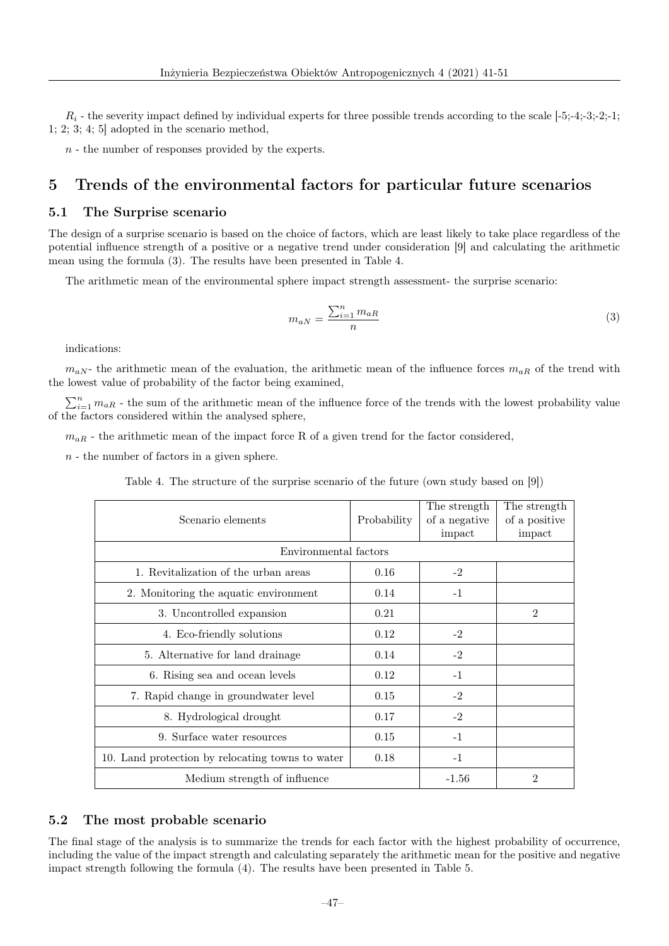$R_i$  - the severity impact defined by individual experts for three possible trends according to the scale  $[-5;-4;-3;-2;-1;$ 1; 2; 3; 4; 5] adopted in the scenario method,

 $n -$  the number of responses provided by the experts.

### 5 Trends of the environmental factors for particular future scenarios

#### 5.1 The Surprise scenario

The design of a surprise scenario is based on the choice of factors, which are least likely to take place regardless of the potential influence strength of a positive or a negative trend under consideration [9] and calculating the arithmetic mean using the formula (3). The results have been presented in Table 4.

The arithmetic mean of the environmental sphere impact strength assessment- the surprise scenario:

$$
m_{aN} = \frac{\sum_{i=1}^{n} m_{aR}}{n}
$$
\n<sup>(3)</sup>

indications:

 $m_{aN}$  the arithmetic mean of the evaluation, the arithmetic mean of the influence forces  $m_{aR}$  of the trend with the lowest value of probability of the factor being examined,

 $\sum_{i=1}^{n} m_{aR}$  - the sum of the arithmetic mean of the influence force of the trends with the lowest probability value of the factors considered within the analysed sphere,

 $m_{aR}$  - the arithmetic mean of the impact force R of a given trend for the factor considered,

 $n -$  the number of factors in a given sphere.

Table 4. The structure of the surprise scenario of the future (own study based on [9])

| Scenario elements                                | Probability | The strength<br>of a negative<br>impact | The strength<br>of a positive<br>impact |
|--------------------------------------------------|-------------|-----------------------------------------|-----------------------------------------|
| Environmental factors                            |             |                                         |                                         |
| 1. Revitalization of the urban areas             | 0.16        | $-2$                                    |                                         |
| 2. Monitoring the aquatic environment            | 0.14        | $-1$                                    |                                         |
| 3. Uncontrolled expansion                        | 0.21        |                                         | $\overline{2}$                          |
| 4. Eco-friendly solutions                        | 0.12        | $-2$                                    |                                         |
| 5. Alternative for land drainage                 | 0.14        | $-2$                                    |                                         |
| 6. Rising sea and ocean levels                   | 0.12        | $-1$                                    |                                         |
| 7. Rapid change in groundwater level             | 0.15        | $-2$                                    |                                         |
| 8. Hydrological drought                          | 0.17        | $-2$                                    |                                         |
| 9. Surface water resources                       | 0.15        | $-1$                                    |                                         |
| 10. Land protection by relocating towns to water | 0.18        | $-1$                                    |                                         |
| Medium strength of influence                     | $-1.56$     | $\overline{2}$                          |                                         |

#### 5.2 The most probable scenario

The final stage of the analysis is to summarize the trends for each factor with the highest probability of occurrence, including the value of the impact strength and calculating separately the arithmetic mean for the positive and negative impact strength following the formula (4). The results have been presented in Table 5.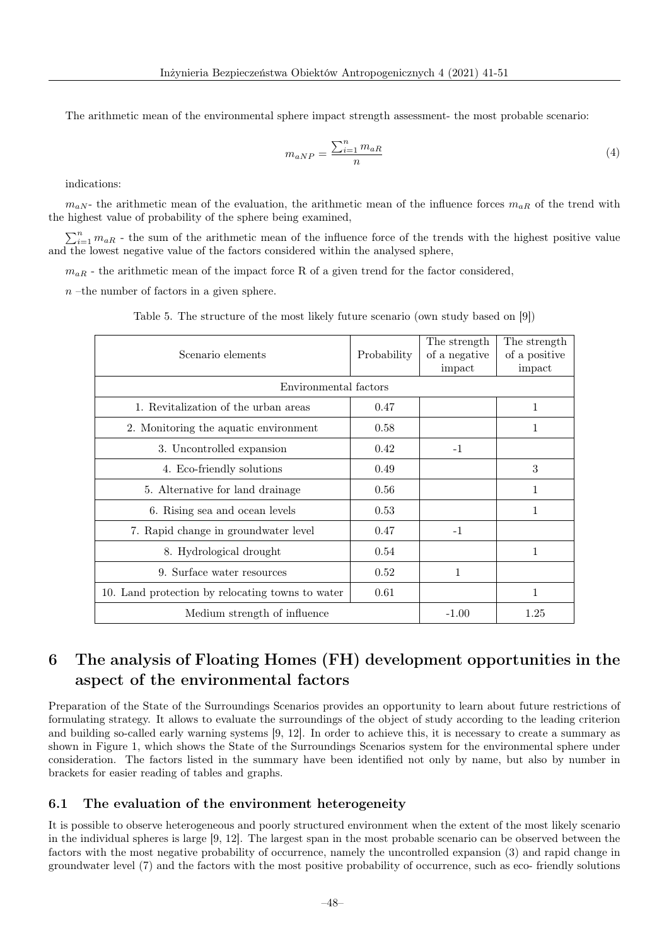The arithmetic mean of the environmental sphere impact strength assessment- the most probable scenario:

$$
m_{aNP} = \frac{\sum_{i=1}^{n} m_{aR}}{n} \tag{4}
$$

indications:

 $m_{aN}$  the arithmetic mean of the evaluation, the arithmetic mean of the influence forces  $m_{aR}$  of the trend with the highest value of probability of the sphere being examined,

 $\sum_{i=1}^{n} m_{aR}$  - the sum of the arithmetic mean of the influence force of the trends with the highest positive value and the lowest negative value of the factors considered within the analysed sphere,

 $m_{aR}$  - the arithmetic mean of the impact force R of a given trend for the factor considered,

 $n$  –the number of factors in a given sphere.

| Scenario elements                                | Probability | The strength<br>of a negative<br>impact | The strength<br>of a positive<br>impact |
|--------------------------------------------------|-------------|-----------------------------------------|-----------------------------------------|
| Environmental factors                            |             |                                         |                                         |
| 1. Revitalization of the urban areas             | 0.47        |                                         | 1                                       |
| 2. Monitoring the aquatic environment            | 0.58        |                                         | 1                                       |
| 3. Uncontrolled expansion                        | 0.42        | $-1$                                    |                                         |
| 4. Eco-friendly solutions                        | 0.49        |                                         | 3                                       |
| 5. Alternative for land drainage                 | 0.56        |                                         | 1                                       |
| 6. Rising sea and ocean levels                   | 0.53        |                                         | 1                                       |
| 7. Rapid change in groundwater level             | 0.47        | $-1$                                    |                                         |
| 8. Hydrological drought                          | 0.54        |                                         | 1                                       |
| 9. Surface water resources                       | 0.52        | $\mathbf{1}$                            |                                         |
| 10. Land protection by relocating towns to water | 0.61        |                                         | 1                                       |
| Medium strength of influence                     |             | $-1.00$                                 | 1.25                                    |

Table 5. The structure of the most likely future scenario (own study based on [9])

## 6 The analysis of Floating Homes (FH) development opportunities in the aspect of the environmental factors

Preparation of the State of the Surroundings Scenarios provides an opportunity to learn about future restrictions of formulating strategy. It allows to evaluate the surroundings of the object of study according to the leading criterion and building so-called early warning systems [9, 12]. In order to achieve this, it is necessary to create a summary as shown in Figure 1, which shows the State of the Surroundings Scenarios system for the environmental sphere under consideration. The factors listed in the summary have been identified not only by name, but also by number in brackets for easier reading of tables and graphs.

#### 6.1 The evaluation of the environment heterogeneity

It is possible to observe heterogeneous and poorly structured environment when the extent of the most likely scenario in the individual spheres is large [9, 12]. The largest span in the most probable scenario can be observed between the factors with the most negative probability of occurrence, namely the uncontrolled expansion (3) and rapid change in groundwater level (7) and the factors with the most positive probability of occurrence, such as eco- friendly solutions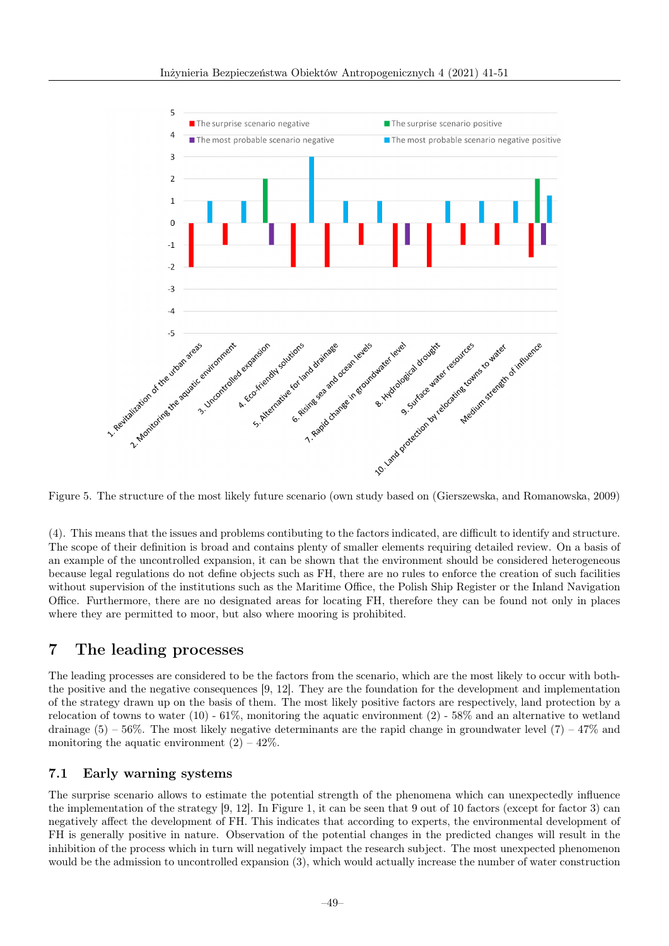

(4). This means that the issues and problems contibuting to the factors indicated, are difficult to identify and structure. The scope of their definition is broad and contains plenty of smaller elements requiring detailed review. On a basis of an example of the uncontrolled expansion, it can be shown that the environment should be considered heterogeneous because legal regulations do not define objects such as FH, there are no rules to enforce the creation of such facilities without supervision of the institutions such as the Maritime Office, the Polish Ship Register or the Inland Navigation Office. Furthermore, there are no designated areas for locating FH, therefore they can be found not only in places where they are permitted to moor, but also where mooring is prohibited.

## 7 The leading processes

The leading processes are considered to be the factors from the scenario, which are the most likely to occur with boththe positive and the negative consequences [9, 12]. They are the foundation for the development and implementation of the strategy drawn up on the basis of them. The most likely positive factors are respectively, land protection by a relocation of towns to water  $(10)$  - 61%, monitoring the aquatic environment  $(2)$  - 58% and an alternative to wetland drainage  $(5)$  – 56%. The most likely negative determinants are the rapid change in groundwater level  $(7)$  – 47% and monitoring the aquatic environment  $(2) - 42\%$ .

#### 7.1 Early warning systems

The surprise scenario allows to estimate the potential strength of the phenomena which can unexpectedly influence the implementation of the strategy [9, 12]. In Figure 1, it can be seen that 9 out of 10 factors (except for factor 3) can negatively affect the development of FH. This indicates that according to experts, the environmental development of FH is generally positive in nature. Observation of the potential changes in the predicted changes will result in the inhibition of the process which in turn will negatively impact the research subject. The most unexpected phenomenon would be the admission to uncontrolled expansion (3), which would actually increase the number of water construction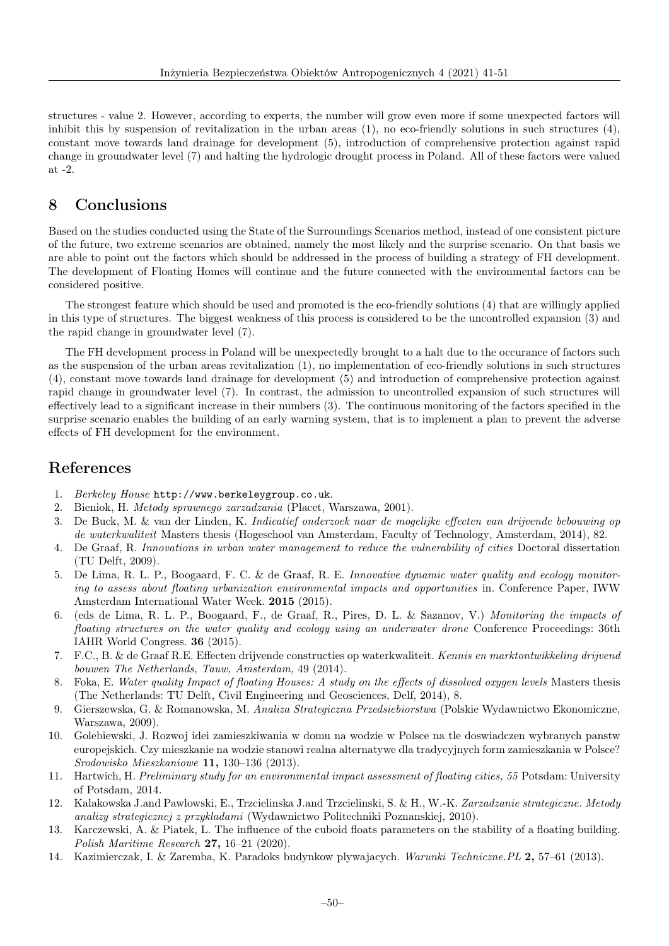structures - value 2. However, according to experts, the number will grow even more if some unexpected factors will inhibit this by suspension of revitalization in the urban areas  $(1)$ , no eco-friendly solutions in such structures  $(4)$ , constant move towards land drainage for development (5), introduction of comprehensive protection against rapid change in groundwater level (7) and halting the hydrologic drought process in Poland. All of these factors were valued at -2.

### 8 Conclusions

Based on the studies conducted using the State of the Surroundings Scenarios method, instead of one consistent picture of the future, two extreme scenarios are obtained, namely the most likely and the surprise scenario. On that basis we are able to point out the factors which should be addressed in the process of building a strategy of FH development. The development of Floating Homes will continue and the future connected with the environmental factors can be considered positive.

The strongest feature which should be used and promoted is the eco-friendly solutions (4) that are willingly applied in this type of structures. The biggest weakness of this process is considered to be the uncontrolled expansion (3) and the rapid change in groundwater level (7).

The FH development process in Poland will be unexpectedly brought to a halt due to the occurance of factors such as the suspension of the urban areas revitalization (1), no implementation of eco-friendly solutions in such structures (4), constant move towards land drainage for development (5) and introduction of comprehensive protection against rapid change in groundwater level (7). In contrast, the admission to uncontrolled expansion of such structures will effectively lead to a significant increase in their numbers (3). The continuous monitoring of the factors specified in the surprise scenario enables the building of an early warning system, that is to implement a plan to prevent the adverse effects of FH development for the environment.

### References

- 1. Berkeley House http://www.berkeleygroup.co.uk.
- 2. Bieniok, H. Metody sprawnego zarzadzania (Placet, Warszawa, 2001).
- 3. De Buck, M. & van der Linden, K. Indicatief onderzoek naar de mogelijke effecten van drijvende bebouwing op de waterkwaliteit Masters thesis (Hogeschool van Amsterdam, Faculty of Technology, Amsterdam, 2014), 82.
- 4. De Graaf, R. Innovations in urban water management to reduce the vulnerability of cities Doctoral dissertation (TU Delft, 2009).
- 5. De Lima, R. L. P., Boogaard, F. C. & de Graaf, R. E. Innovative dynamic water quality and ecology monitoring to assess about floating urbanization environmental impacts and opportunities in. Conference Paper, IWW Amsterdam International Water Week. 2015 (2015).
- 6. (eds de Lima, R. L. P., Boogaard, F., de Graaf, R., Pires, D. L. & Sazanov, V.) Monitoring the impacts of floating structures on the water quality and ecology using an underwater drone Conference Proceedings: 36th IAHR World Congress. 36 (2015).
- 7. F.C., B. & de Graaf R.E. Effecten drijvende constructies op waterkwaliteit. Kennis en marktontwikkeling drijvend bouwen The Netherlands, Tauw, Amsterdam, 49 (2014).
- 8. Foka, E. Water quality Impact of floating Houses: A study on the effects of dissolved oxygen levels Masters thesis (The Netherlands: TU Delft, Civil Engineering and Geosciences, Delf, 2014), 8.
- 9. Gierszewska, G. & Romanowska, M. Analiza Strategiczna Przedsiebiorstwa (Polskie Wydawnictwo Ekonomiczne, Warszawa, 2009).
- 10. Golebiewski, J. Rozwoj idei zamieszkiwania w domu na wodzie w Polsce na tle doswiadczen wybranych panstw europejskich. Czy mieszkanie na wodzie stanowi realna alternatywe dla tradycyjnych form zamieszkania w Polsce? Srodowisko Mieszkaniowe 11, 130–136 (2013).
- 11. Hartwich, H. Preliminary study for an environmental impact assessment of floating cities, 55 Potsdam: University of Potsdam, 2014.
- 12. Kalakowska J.and Pawlowski, E., Trzcielinska J.and Trzcielinski, S. & H., W.-K. Zarzadzanie strategiczne. Metody analizy strategicznej z przykladami (Wydawnictwo Politechniki Poznanskiej, 2010).
- 13. Karczewski, A. & Piatek, L. The influence of the cuboid floats parameters on the stability of a floating building. Polish Maritime Research 27, 16–21 (2020).
- 14. Kazimierczak, I. & Zaremba, K. Paradoks budynkow plywajacych. Warunki Techniczne.PL 2, 57–61 (2013).